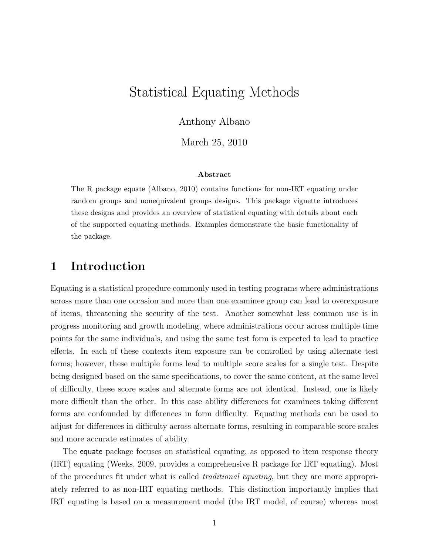# Statistical Equating Methods

Anthony Albano

March 25, 2010

### Abstract

The R package equate (Albano, 2010) contains functions for non-IRT equating under random groups and nonequivalent groups designs. This package vignette introduces these designs and provides an overview of statistical equating with details about each of the supported equating methods. Examples demonstrate the basic functionality of the package.

## 1 Introduction

Equating is a statistical procedure commonly used in testing programs where administrations across more than one occasion and more than one examinee group can lead to overexposure of items, threatening the security of the test. Another somewhat less common use is in progress monitoring and growth modeling, where administrations occur across multiple time points for the same individuals, and using the same test form is expected to lead to practice effects. In each of these contexts item exposure can be controlled by using alternate test forms; however, these multiple forms lead to multiple score scales for a single test. Despite being designed based on the same specifications, to cover the same content, at the same level of difficulty, these score scales and alternate forms are not identical. Instead, one is likely more difficult than the other. In this case ability differences for examinees taking different forms are confounded by differences in form difficulty. Equating methods can be used to adjust for differences in difficulty across alternate forms, resulting in comparable score scales and more accurate estimates of ability.

The equate package focuses on statistical equating, as opposed to item response theory (IRT) equating (Weeks, 2009, provides a comprehensive R package for IRT equating). Most of the procedures fit under what is called traditional equating, but they are more appropriately referred to as non-IRT equating methods. This distinction importantly implies that IRT equating is based on a measurement model (the IRT model, of course) whereas most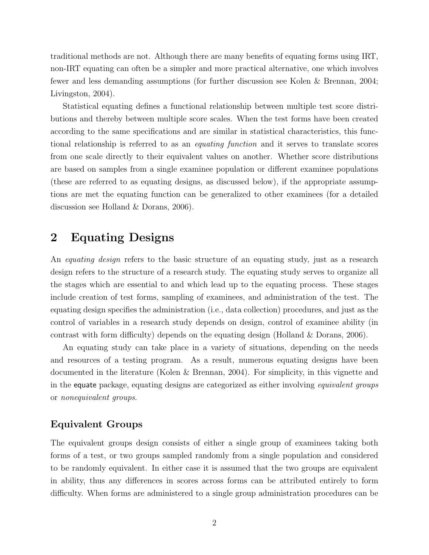traditional methods are not. Although there are many benefits of equating forms using IRT, non-IRT equating can often be a simpler and more practical alternative, one which involves fewer and less demanding assumptions (for further discussion see Kolen & Brennan, 2004; Livingston, 2004).

Statistical equating defines a functional relationship between multiple test score distributions and thereby between multiple score scales. When the test forms have been created according to the same specifications and are similar in statistical characteristics, this functional relationship is referred to as an equating function and it serves to translate scores from one scale directly to their equivalent values on another. Whether score distributions are based on samples from a single examinee population or different examinee populations (these are referred to as equating designs, as discussed below), if the appropriate assumptions are met the equating function can be generalized to other examinees (for a detailed discussion see Holland & Dorans, 2006).

## 2 Equating Designs

An *equating design* refers to the basic structure of an equating study, just as a research design refers to the structure of a research study. The equating study serves to organize all the stages which are essential to and which lead up to the equating process. These stages include creation of test forms, sampling of examinees, and administration of the test. The equating design specifies the administration (i.e., data collection) procedures, and just as the control of variables in a research study depends on design, control of examinee ability (in contrast with form difficulty) depends on the equating design (Holland & Dorans, 2006).

An equating study can take place in a variety of situations, depending on the needs and resources of a testing program. As a result, numerous equating designs have been documented in the literature (Kolen & Brennan, 2004). For simplicity, in this vignette and in the equate package, equating designs are categorized as either involving *equivalent groups* or nonequivalent groups.

## Equivalent Groups

The equivalent groups design consists of either a single group of examinees taking both forms of a test, or two groups sampled randomly from a single population and considered to be randomly equivalent. In either case it is assumed that the two groups are equivalent in ability, thus any differences in scores across forms can be attributed entirely to form difficulty. When forms are administered to a single group administration procedures can be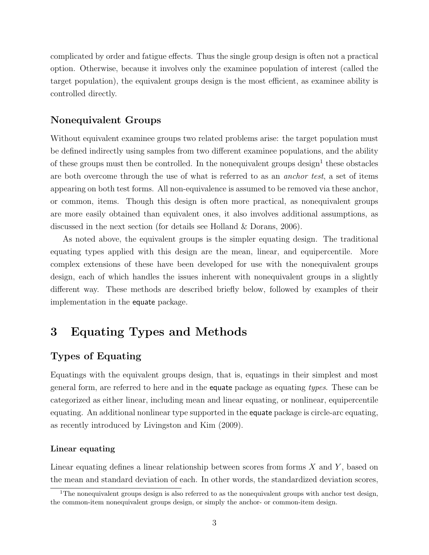complicated by order and fatigue effects. Thus the single group design is often not a practical option. Otherwise, because it involves only the examinee population of interest (called the target population), the equivalent groups design is the most efficient, as examinee ability is controlled directly.

## Nonequivalent Groups

Without equivalent examinee groups two related problems arise: the target population must be defined indirectly using samples from two different examinee populations, and the ability of these groups must then be controlled. In the nonequivalent groups design<sup>1</sup> these obstacles are both overcome through the use of what is referred to as an anchor test, a set of items appearing on both test forms. All non-equivalence is assumed to be removed via these anchor, or common, items. Though this design is often more practical, as nonequivalent groups are more easily obtained than equivalent ones, it also involves additional assumptions, as discussed in the next section (for details see Holland & Dorans, 2006).

As noted above, the equivalent groups is the simpler equating design. The traditional equating types applied with this design are the mean, linear, and equipercentile. More complex extensions of these have been developed for use with the nonequivalent groups design, each of which handles the issues inherent with nonequivalent groups in a slightly different way. These methods are described briefly below, followed by examples of their implementation in the equate package.

## 3 Equating Types and Methods

## Types of Equating

Equatings with the equivalent groups design, that is, equatings in their simplest and most general form, are referred to here and in the equate package as equating types. These can be categorized as either linear, including mean and linear equating, or nonlinear, equipercentile equating. An additional nonlinear type supported in the equate package is circle-arc equating, as recently introduced by Livingston and Kim (2009).

### Linear equating

Linear equating defines a linear relationship between scores from forms  $X$  and  $Y$ , based on the mean and standard deviation of each. In other words, the standardized deviation scores,

<sup>&</sup>lt;sup>1</sup>The nonequivalent groups design is also referred to as the nonequivalent groups with anchor test design, the common-item nonequivalent groups design, or simply the anchor- or common-item design.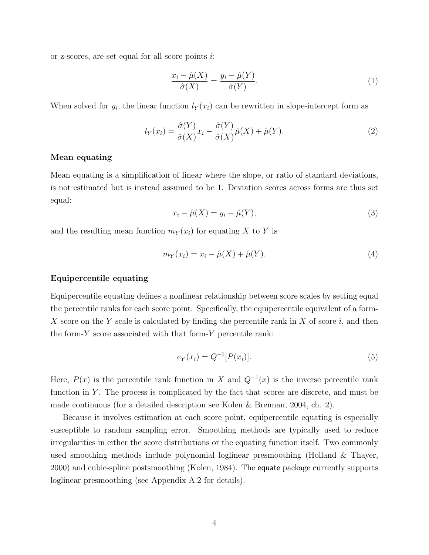or z-scores, are set equal for all score points i:

$$
\frac{x_i - \hat{\mu}(X)}{\hat{\sigma}(X)} = \frac{y_i - \hat{\mu}(Y)}{\hat{\sigma}(Y)}.
$$
\n(1)

When solved for  $y_i$ , the linear function  $l_Y(x_i)$  can be rewritten in slope-intercept form as

$$
l_Y(x_i) = \frac{\hat{\sigma}(Y)}{\hat{\sigma}(X)} x_i - \frac{\hat{\sigma}(Y)}{\hat{\sigma}(X)} \hat{\mu}(X) + \hat{\mu}(Y).
$$
 (2)

### Mean equating

Mean equating is a simplification of linear where the slope, or ratio of standard deviations, is not estimated but is instead assumed to be 1. Deviation scores across forms are thus set equal:

$$
x_i - \hat{\mu}(X) = y_i - \hat{\mu}(Y),\tag{3}
$$

and the resulting mean function  $m_Y(x_i)$  for equating X to Y is

$$
m_Y(x_i) = x_i - \hat{\mu}(X) + \hat{\mu}(Y).
$$
 (4)

### Equipercentile equating

Equipercentile equating defines a nonlinear relationship between score scales by setting equal the percentile ranks for each score point. Specifically, the equipercentile equivalent of a form-X score on the Y scale is calculated by finding the percentile rank in X of score  $i$ , and then the form- $Y$  score associated with that form- $Y$  percentile rank:

$$
e_Y(x_i) = Q^{-1}[P(x_i)].
$$
\n(5)

Here,  $P(x)$  is the percentile rank function in X and  $Q^{-1}(x)$  is the inverse percentile rank function in  $Y$ . The process is complicated by the fact that scores are discrete, and must be made continuous (for a detailed description see Kolen & Brennan, 2004, ch. 2).

Because it involves estimation at each score point, equipercentile equating is especially susceptible to random sampling error. Smoothing methods are typically used to reduce irregularities in either the score distributions or the equating function itself. Two commonly used smoothing methods include polynomial loglinear presmoothing (Holland & Thayer, 2000) and cubic-spline postsmoothing (Kolen, 1984). The equate package currently supports loglinear presmoothing (see Appendix A.2 for details).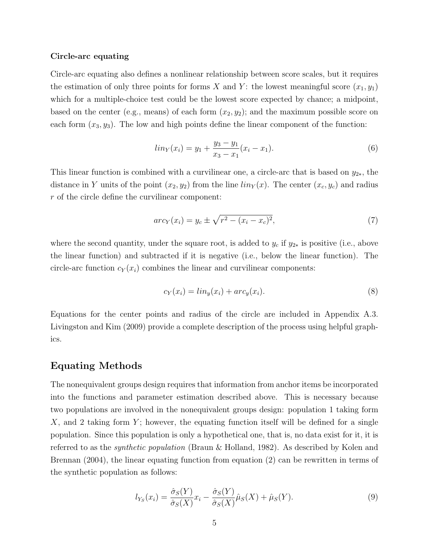### Circle-arc equating

Circle-arc equating also defines a nonlinear relationship between score scales, but it requires the estimation of only three points for forms X and Y: the lowest meaningful score  $(x_1, y_1)$ which for a multiple-choice test could be the lowest score expected by chance; a midpoint, based on the center (e.g., means) of each form  $(x_2, y_2)$ ; and the maximum possible score on each form  $(x_3, y_3)$ . The low and high points define the linear component of the function:

$$
lin_Y(x_i) = y_1 + \frac{y_3 - y_1}{x_3 - x_1}(x_i - x_1).
$$
 (6)

This linear function is combined with a curvilinear one, a circle-arc that is based on  $y_{2*}$ , the distance in Y units of the point  $(x_2, y_2)$  from the line  $\lim_{Y}(x)$ . The center  $(x_c, y_c)$  and radius r of the circle define the curvilinear component:

$$
arc_Y(x_i) = y_c \pm \sqrt{r^2 - (x_i - x_c)^2},
$$
\n(7)

where the second quantity, under the square root, is added to  $y_c$  if  $y_{2*}$  is positive (i.e., above the linear function) and subtracted if it is negative (i.e., below the linear function). The circle-arc function  $c_Y(x_i)$  combines the linear and curvilinear components:

$$
c_Y(x_i) = \lim_y(x_i) + \operatorname{arc}_y(x_i). \tag{8}
$$

Equations for the center points and radius of the circle are included in Appendix A.3. Livingston and Kim (2009) provide a complete description of the process using helpful graphics.

### Equating Methods

The nonequivalent groups design requires that information from anchor items be incorporated into the functions and parameter estimation described above. This is necessary because two populations are involved in the nonequivalent groups design: population 1 taking form  $X$ , and 2 taking form  $Y$ ; however, the equating function itself will be defined for a single population. Since this population is only a hypothetical one, that is, no data exist for it, it is referred to as the synthetic population (Braun & Holland, 1982). As described by Kolen and Brennan (2004), the linear equating function from equation (2) can be rewritten in terms of the synthetic population as follows:

$$
l_{Y_S}(x_i) = \frac{\hat{\sigma}_S(Y)}{\hat{\sigma}_S(X)} x_i - \frac{\hat{\sigma}_S(Y)}{\hat{\sigma}_S(X)} \hat{\mu}_S(X) + \hat{\mu}_S(Y). \tag{9}
$$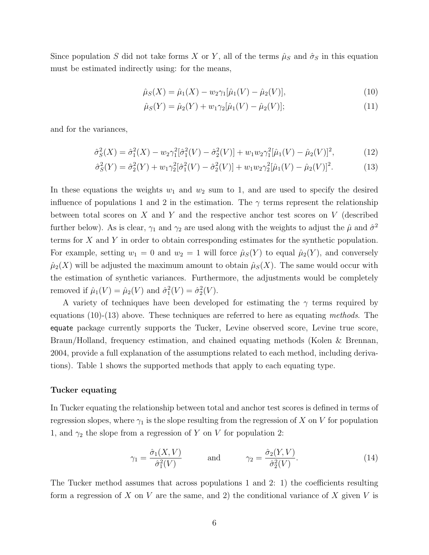Since population S did not take forms X or Y, all of the terms  $\hat{\mu}_S$  and  $\hat{\sigma}_S$  in this equation must be estimated indirectly using: for the means,

$$
\hat{\mu}_S(X) = \hat{\mu}_1(X) - w_2 \gamma_1[\hat{\mu}_1(V) - \hat{\mu}_2(V)],\tag{10}
$$

$$
\hat{\mu}_S(Y) = \hat{\mu}_2(Y) + w_1 \gamma_2[\hat{\mu}_1(V) - \hat{\mu}_2(V)]; \qquad (11)
$$

and for the variances,

$$
\hat{\sigma}_S^2(X) = \hat{\sigma}_1^2(X) - w_2 \gamma_1^2 [\hat{\sigma}_1^2(V) - \hat{\sigma}_2^2(V)] + w_1 w_2 \gamma_1^2 [\hat{\mu}_1(V) - \hat{\mu}_2(V)]^2, \tag{12}
$$

$$
\hat{\sigma}_S^2(Y) = \hat{\sigma}_2^2(Y) + w_1 \gamma_2^2 [\hat{\sigma}_1^2(V) - \hat{\sigma}_2^2(V)] + w_1 w_2 \gamma_2^2 [\hat{\mu}_1(V) - \hat{\mu}_2(V)]^2.
$$
\n(13)

In these equations the weights  $w_1$  and  $w_2$  sum to 1, and are used to specify the desired influence of populations 1 and 2 in the estimation. The  $\gamma$  terms represent the relationship between total scores on  $X$  and  $Y$  and the respective anchor test scores on  $V$  (described further below). As is clear,  $\gamma_1$  and  $\gamma_2$  are used along with the weights to adjust the  $\hat{\mu}$  and  $\hat{\sigma}^2$ terms for X and Y in order to obtain corresponding estimates for the synthetic population. For example, setting  $w_1 = 0$  and  $w_2 = 1$  will force  $\hat{\mu}_S(Y)$  to equal  $\hat{\mu}_2(Y)$ , and conversely  $\hat{\mu}_2(X)$  will be adjusted the maximum amount to obtain  $\hat{\mu}_S(X)$ . The same would occur with the estimation of synthetic variances. Furthermore, the adjustments would be completely removed if  $\hat{\mu}_1(V) = \hat{\mu}_2(V)$  and  $\hat{\sigma}_1^2(V) = \hat{\sigma}_2^2(V)$ .

A variety of techniques have been developed for estimating the  $\gamma$  terms required by equations  $(10)-(13)$  above. These techniques are referred to here as equating methods. The equate package currently supports the Tucker, Levine observed score, Levine true score, Braun/Holland, frequency estimation, and chained equating methods (Kolen & Brennan, 2004, provide a full explanation of the assumptions related to each method, including derivations). Table 1 shows the supported methods that apply to each equating type.

#### Tucker equating

In Tucker equating the relationship between total and anchor test scores is defined in terms of regression slopes, where  $\gamma_1$  is the slope resulting from the regression of X on V for population 1, and  $\gamma_2$  the slope from a regression of Y on V for population 2:

$$
\gamma_1 = \frac{\hat{\sigma}_1(X, V)}{\hat{\sigma}_1^2(V)} \quad \text{and} \quad \gamma_2 = \frac{\hat{\sigma}_2(Y, V)}{\hat{\sigma}_2^2(V)}.
$$
\n(14)

The Tucker method assumes that across populations 1 and 2: 1) the coefficients resulting form a regression of X on V are the same, and 2) the conditional variance of X given V is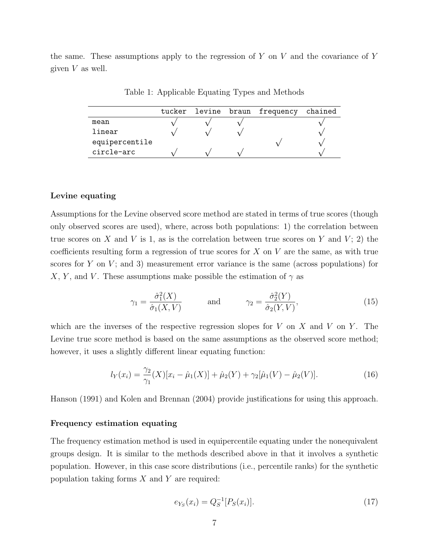the same. These assumptions apply to the regression of  $Y$  on  $V$  and the covariance of  $Y$ given V as well.

Table 1: Applicable Equating Types and Methods

|                |  | tucker levine braun frequency | chained |
|----------------|--|-------------------------------|---------|
| mean           |  |                               |         |
| linear         |  |                               |         |
| equipercentile |  |                               |         |
| circle-arc     |  |                               |         |

#### Levine equating

Assumptions for the Levine observed score method are stated in terms of true scores (though only observed scores are used), where, across both populations: 1) the correlation between true scores on X and V is 1, as is the correlation between true scores on Y and V; 2) the coefficients resulting form a regression of true scores for  $X$  on  $V$  are the same, as with true scores for Y on V; and 3) measurement error variance is the same (across populations) for X, Y, and V. These assumptions make possible the estimation of  $\gamma$  as

$$
\gamma_1 = \frac{\hat{\sigma}_1^2(X)}{\hat{\sigma}_1(X, V)} \quad \text{and} \quad \gamma_2 = \frac{\hat{\sigma}_2^2(Y)}{\hat{\sigma}_2(Y, V)}, \tag{15}
$$

which are the inverses of the respective regression slopes for  $V$  on  $X$  and  $V$  on  $Y$ . The Levine true score method is based on the same assumptions as the observed score method; however, it uses a slightly different linear equating function:

$$
l_Y(x_i) = \frac{\gamma_2}{\gamma_1}(X)[x_i - \hat{\mu}_1(X)] + \hat{\mu}_2(Y) + \gamma_2[\hat{\mu}_1(V) - \hat{\mu}_2(V)].
$$
\n(16)

Hanson (1991) and Kolen and Brennan (2004) provide justifications for using this approach.

### Frequency estimation equating

The frequency estimation method is used in equipercentile equating under the nonequivalent groups design. It is similar to the methods described above in that it involves a synthetic population. However, in this case score distributions (i.e., percentile ranks) for the synthetic population taking forms  $X$  and  $Y$  are required:

$$
e_{Y_S}(x_i) = Q_S^{-1}[P_S(x_i)].
$$
\n(17)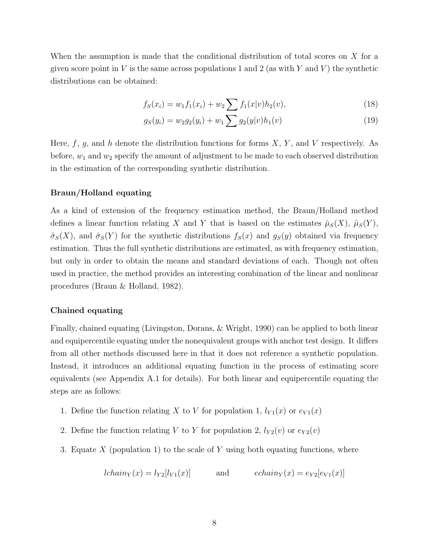When the assumption is made that the conditional distribution of total scores on X for a given score point in V is the same across populations 1 and 2 (as with Y and V) the synthetic distributions can be obtained:

$$
f_S(x_i) = w_1 f_1(x_i) + w_2 \sum f_1(x|v) h_2(v), \qquad (18)
$$

$$
g_S(y_i) = w_2 g_2(y_i) + w_1 \sum g_2(y|v) h_1(v)
$$
\n(19)

Here,  $f, g$ , and h denote the distribution functions for forms  $X, Y$ , and V respectively. As before,  $w_1$  and  $w_2$  specify the amount of adjustment to be made to each observed distribution in the estimation of the corresponding synthetic distribution.

### Braun/Holland equating

As a kind of extension of the frequency estimation method, the Braun/Holland method defines a linear function relating X and Y that is based on the estimates  $\hat{\mu}_S(X)$ ,  $\hat{\mu}_S(Y)$ ,  $\hat{\sigma}_S(X)$ , and  $\hat{\sigma}_S(Y)$  for the synthetic distributions  $f_S(x)$  and  $g_S(y)$  obtained via frequency estimation. Thus the full synthetic distributions are estimated, as with frequency estimation, but only in order to obtain the means and standard deviations of each. Though not often used in practice, the method provides an interesting combination of the linear and nonlinear procedures (Braun & Holland, 1982).

### Chained equating

Finally, chained equating (Livingston, Dorans, & Wright, 1990) can be applied to both linear and equipercentile equating under the nonequivalent groups with anchor test design. It differs from all other methods discussed here in that it does not reference a synthetic population. Instead, it introduces an additional equating function in the process of estimating score equivalents (see Appendix A.1 for details). For both linear and equipercentile equating the steps are as follows:

- 1. Define the function relating X to V for population 1,  $l_{V_1}(x)$  or  $e_{V_1}(x)$
- 2. Define the function relating V to Y for population 2,  $l_{Y2}(v)$  or  $e_{Y2}(v)$
- 3. Equate  $X$  (population 1) to the scale of Y using both equating functions, where

$$
lchain_Y(x) = l_{Y2}[l_{V1}(x)] \qquad \text{and} \qquad echain_Y(x) = e_{Y2}[e_{V1}(x)]
$$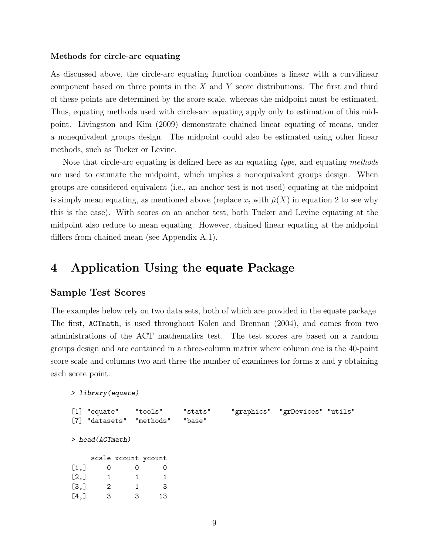### Methods for circle-arc equating

As discussed above, the circle-arc equating function combines a linear with a curvilinear component based on three points in the  $X$  and  $Y$  score distributions. The first and third of these points are determined by the score scale, whereas the midpoint must be estimated. Thus, equating methods used with circle-arc equating apply only to estimation of this midpoint. Livingston and Kim (2009) demonstrate chained linear equating of means, under a nonequivalent groups design. The midpoint could also be estimated using other linear methods, such as Tucker or Levine.

Note that circle-arc equating is defined here as an equating type, and equating methods are used to estimate the midpoint, which implies a nonequivalent groups design. When groups are considered equivalent (i.e., an anchor test is not used) equating at the midpoint is simply mean equating, as mentioned above (replace  $x_i$  with  $\hat{\mu}(X)$  in equation 2 to see why this is the case). With scores on an anchor test, both Tucker and Levine equating at the midpoint also reduce to mean equating. However, chained linear equating at the midpoint differs from chained mean (see Appendix A.1).

## 4 Application Using the equate Package

### Sample Test Scores

The examples below rely on two data sets, both of which are provided in the equate package. The first, ACTmath, is used throughout Kolen and Brennan (2004), and comes from two administrations of the ACT mathematics test. The test scores are based on a random groups design and are contained in a three-column matrix where column one is the 40-point score scale and columns two and three the number of examinees for forms x and y obtaining each score point.

```
> library(equate)
```

|                    | [1] "equate" "tools"     |   |    | "stats" | "graphics" "grDevices" "utils" |  |
|--------------------|--------------------------|---|----|---------|--------------------------------|--|
|                    | [7] "datasets" "methods" |   |    | "base"  |                                |  |
|                    |                          |   |    |         |                                |  |
|                    | $>$ head (ACTmath)       |   |    |         |                                |  |
|                    |                          |   |    |         |                                |  |
|                    | scale xcount ycount      |   |    |         |                                |  |
| [1,]               | 0                        | 0 | 0  |         |                                |  |
| [2,]               |                          |   |    |         |                                |  |
| $\left[3, \right]$ | 2                        |   | 3  |         |                                |  |
| [4,]               | 3                        | 3 | 13 |         |                                |  |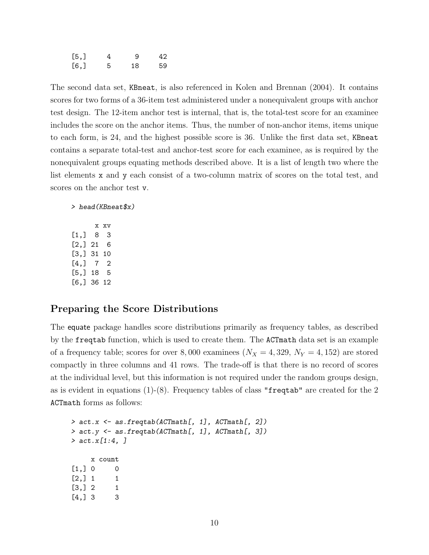| [5,] | 4  | -9 | 42 |
|------|----|----|----|
| [6,  | .5 | 18 | 59 |

The second data set, KBneat, is also referenced in Kolen and Brennan (2004). It contains scores for two forms of a 36-item test administered under a nonequivalent groups with anchor test design. The 12-item anchor test is internal, that is, the total-test score for an examinee includes the score on the anchor items. Thus, the number of non-anchor items, items unique to each form, is 24, and the highest possible score is 36. Unlike the first data set, KBneat contains a separate total-test and anchor-test score for each examinee, as is required by the nonequivalent groups equating methods described above. It is a list of length two where the list elements x and y each consist of a two-column matrix of scores on the total test, and scores on the anchor test v.

#### > head(KBneat\$x)

x xv [1,] 8 3 [2,] 21 6 [3,] 31 10  $[4,] 7 2$ [5,] 18 5 [6,] 36 12

### Preparing the Score Distributions

The equate package handles score distributions primarily as frequency tables, as described by the freqtab function, which is used to create them. The ACTmath data set is an example of a frequency table; scores for over 8,000 examinees  $(N_X = 4, 329, N_Y = 4, 152)$  are stored compactly in three columns and 41 rows. The trade-off is that there is no record of scores at the individual level, but this information is not required under the random groups design, as is evident in equations  $(1)-(8)$ . Frequency tables of class "frequency" are created for the 2 ACTmath forms as follows:

```
> act.x <- as.freqtab(ACTmath[, 1], ACTmath[, 2])
> act.y <- as.freqtab(ACTmath[, 1], ACTmath[, 3])
> act.x[1:4, ]
    x count
[1,] 0 0[2,] 1 1[3, 3] 2 1[4,] 3 3
```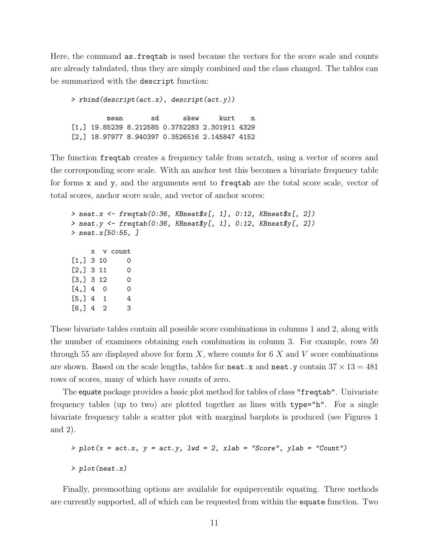Here, the command as.freqtab is used because the vectors for the score scale and counts are already tabulated, thus they are simply combined and the class changed. The tables can be summarized with the descript function:

> rbind(descript(act.x), descript(act.y)) mean sd skew kurt n [1,] 19.85239 8.212585 0.3752283 2.301911 4329 [2,] 18.97977 8.940397 0.3526516 2.145847 4152

The function freqtab creates a frequency table from scratch, using a vector of scores and the corresponding score scale. With an anchor test this becomes a bivariate frequency table for forms x and y, and the arguments sent to freqtab are the total score scale, vector of total scores, anchor score scale, and vector of anchor scores:

```
> neat.x <- freqtab(0:36, KBneatx[, 1], 0:12, KBneatx[, 2])
> neat.y <- freqtab(0:36, KBneat$y[, 1], 0:12, KBneat$y[, 2])
> neat.x[50:55, ]
    x v count
[1,] 3 10 0[2,] 3 11 0[3, 3, 12, 0][4,] 4 0 0[5,] 4 1 4[6, 34 2 3
```
These bivariate tables contain all possible score combinations in columns 1 and 2, along with the number of examinees obtaining each combination in column 3. For example, rows 50 through 55 are displayed above for form  $X$ , where counts for 6  $X$  and  $V$  score combinations are shown. Based on the scale lengths, tables for neat.x and neat.y contain  $37 \times 13 = 481$ rows of scores, many of which have counts of zero.

The equate package provides a basic plot method for tables of class "freqtab". Univariate frequency tables (up to two) are plotted together as lines with type="h". For a single bivariate frequency table a scatter plot with marginal barplots is produced (see Figures 1 and 2).

```
> plot(x = act.x, y = act.y, lw = 2, xlab = "Score", ylab = "Count")> plot(neat.x)
```
Finally, presmoothing options are available for equipercentile equating. Three methods are currently supported, all of which can be requested from within the equate function. Two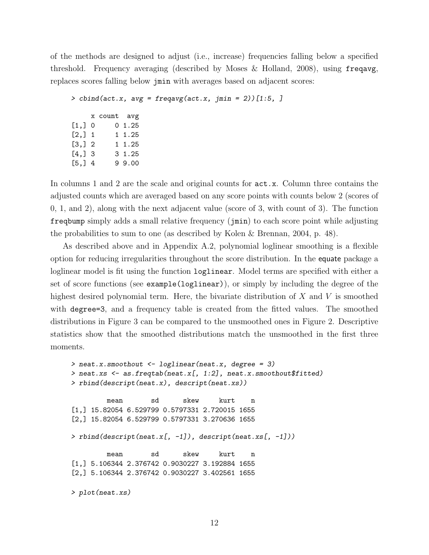of the methods are designed to adjust (i.e., increase) frequencies falling below a specified threshold. Frequency averaging (described by Moses & Holland, 2008), using freqavg, replaces scores falling below jmin with averages based on adjacent scores:

```
> cbind(act.x, avg = freqavg(act.x, jmin = 2))[1:5, ]
    x count avg
[1,] 0 0 1.25[2,] 1 1.25[3,] 2 1 1.25[4,] 3 3 1.25
[5,] 4 9 9.00
```
In columns 1 and 2 are the scale and original counts for act.x. Column three contains the adjusted counts which are averaged based on any score points with counts below 2 (scores of 0, 1, and 2), along with the next adjacent value (score of 3, with count of 3). The function freqbump simply adds a small relative frequency (jmin) to each score point while adjusting the probabilities to sum to one (as described by Kolen & Brennan, 2004, p. 48).

As described above and in Appendix A.2, polynomial loglinear smoothing is a flexible option for reducing irregularities throughout the score distribution. In the equate package a loglinear model is fit using the function loglinear. Model terms are specified with either a set of score functions (see example(loglinear)), or simply by including the degree of the highest desired polynomial term. Here, the bivariate distribution of  $X$  and  $V$  is smoothed with degree=3, and a frequency table is created from the fitted values. The smoothed distributions in Figure 3 can be compared to the unsmoothed ones in Figure 2. Descriptive statistics show that the smoothed distributions match the unsmoothed in the first three moments.

```
> neat.x.smoothout <- loglinear(neat.x, degree = 3)
> neat.xs <- as.freqtab(neat.x[, 1:2], neat.x.smoothout$fitted)
> rbind(descript(neat.x), descript(neat.xs))
        mean sd skew kurt n
[1,] 15.82054 6.529799 0.5797331 2.720015 1655
[2,] 15.82054 6.529799 0.5797331 3.270636 1655
> rbind(descript(neat.x[, -1]), descript(neat.xs[, -1]))
        mean sd skew kurt n
[1,] 5.106344 2.376742 0.9030227 3.192884 1655
[2,] 5.106344 2.376742 0.9030227 3.402561 1655
> plot(neat.xs)
```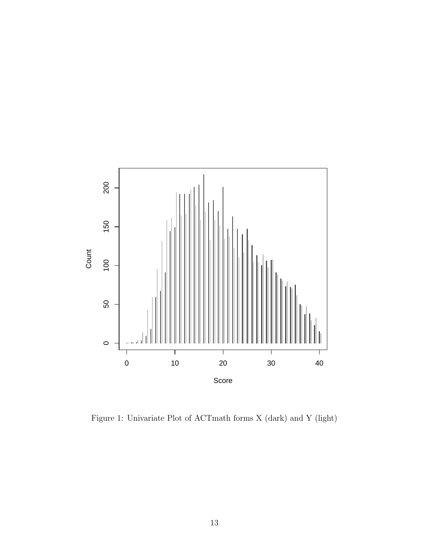

Figure 1: Univariate Plot of ACTmath forms X (dark) and Y (light)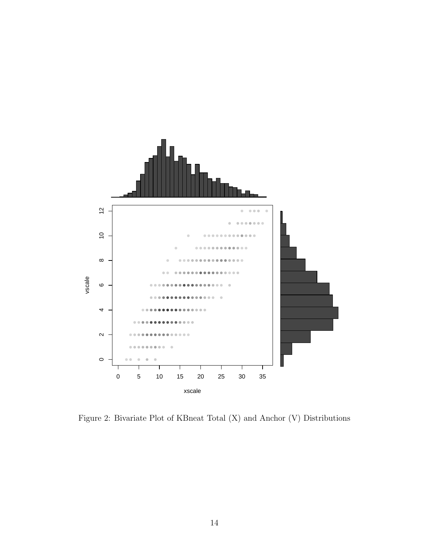

Figure 2: Bivariate Plot of KBneat Total (X) and Anchor (V) Distributions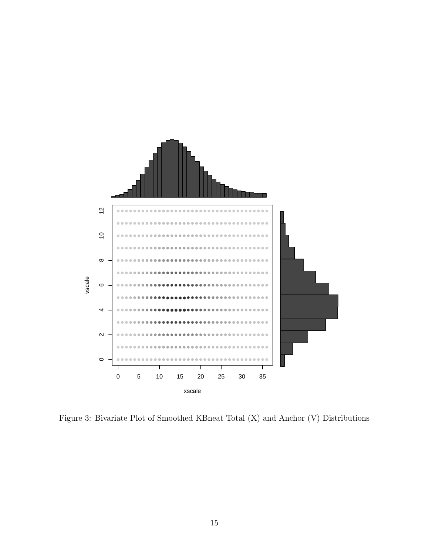

Figure 3: Bivariate Plot of Smoothed KBneat Total (X) and Anchor (V) Distributions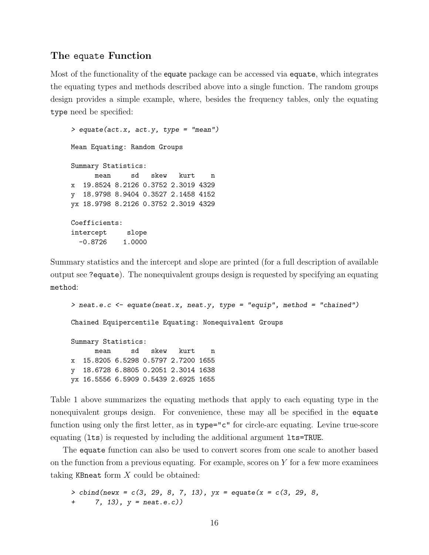## The equate Function

Most of the functionality of the equate package can be accessed via equate, which integrates the equating types and methods described above into a single function. The random groups design provides a simple example, where, besides the frequency tables, only the equating type need be specified:

> equate(act.x, act.y, type = "mean") Mean Equating: Random Groups Summary Statistics: mean sd skew kurt n x 19.8524 8.2126 0.3752 2.3019 4329 y 18.9798 8.9404 0.3527 2.1458 4152 yx 18.9798 8.2126 0.3752 2.3019 4329 Coefficients: intercept slope  $-0.8726$  1.0000

Summary statistics and the intercept and slope are printed (for a full description of available output see ?equate). The nonequivalent groups design is requested by specifying an equating method:

```
> neat.e.c <- equate(neat.x, neat.y, type = "equip", method = "chained")
Chained Equipercentile Equating: Nonequivalent Groups
Summary Statistics:
     mean sd skew kurt n
x 15.8205 6.5298 0.5797 2.7200 1655
y 18.6728 6.8805 0.2051 2.3014 1638
yx 16.5556 6.5909 0.5439 2.6925 1655
```
Table 1 above summarizes the equating methods that apply to each equating type in the nonequivalent groups design. For convenience, these may all be specified in the equate function using only the first letter, as in type="c" for circle-arc equating. Levine true-score equating (lts) is requested by including the additional argument lts=TRUE.

The equate function can also be used to convert scores from one scale to another based on the function from a previous equating. For example, scores on  $Y$  for a few more examinees taking KBneat form  $X$  could be obtained:

```
> cbind(newx = c(3, 29, 8, 7, 13), yx = equate(x = c(3, 29, 8,
+ 7, 13), y = neat.e.c))
```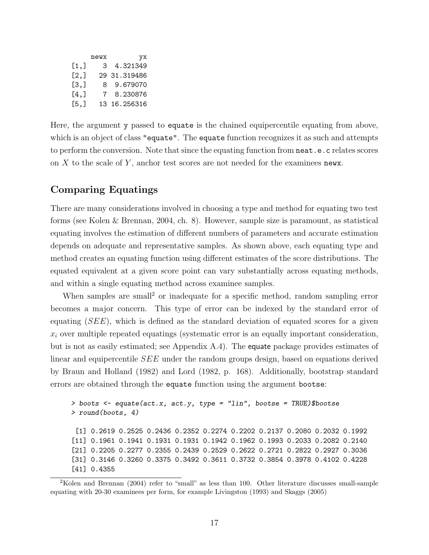|      | newx | yх           |
|------|------|--------------|
| [1,] | 3    | 4.321349     |
| [2,] |      | 29 31.319486 |
| [3,] | 8.   | 9.679070     |
| [4.1 | 7    | 8.230876     |
| [5,] |      | 13 16.256316 |

Here, the argument y passed to equate is the chained equipercentile equating from above, which is an object of class "equate". The equate function recognizes it as such and attempts to perform the conversion. Note that since the equating function from neat.e.c relates scores on  $X$  to the scale of  $Y$ , anchor test scores are not needed for the examinees news.

## Comparing Equatings

There are many considerations involved in choosing a type and method for equating two test forms (see Kolen & Brennan, 2004, ch. 8). However, sample size is paramount, as statistical equating involves the estimation of different numbers of parameters and accurate estimation depends on adequate and representative samples. As shown above, each equating type and method creates an equating function using different estimates of the score distributions. The equated equivalent at a given score point can vary substantially across equating methods, and within a single equating method across examinee samples.

When samples are small<sup>2</sup> or inadequate for a specific method, random sampling error becomes a major concern. This type of error can be indexed by the standard error of equating  $(SEE)$ , which is defined as the standard deviation of equated scores for a given  $x_i$  over multiple repeated equatings (systematic error is an equally important consideration, but is not as easily estimated; see Appendix A.4). The equate package provides estimates of linear and equipercentile SEE under the random groups design, based on equations derived by Braun and Holland (1982) and Lord (1982, p. 168). Additionally, bootstrap standard errors are obtained through the equate function using the argument bootse:

> boots  $\leq$  equate(act.x, act.y, type = "lin", bootse = TRUE)\$bootse > round(boots, 4) [1] 0.2619 0.2525 0.2436 0.2352 0.2274 0.2202 0.2137 0.2080 0.2032 0.1992 [11] 0.1961 0.1941 0.1931 0.1931 0.1942 0.1962 0.1993 0.2033 0.2082 0.2140 [21] 0.2205 0.2277 0.2355 0.2439 0.2529 0.2622 0.2721 0.2822 0.2927 0.3036 [31] 0.3146 0.3260 0.3375 0.3492 0.3611 0.3732 0.3854 0.3978 0.4102 0.4228 [41] 0.4355

<sup>2</sup>Kolen and Brennan (2004) refer to "small" as less than 100. Other literature discusses small-sample equating with 20-30 examinees per form, for example Livingston (1993) and Skaggs (2005)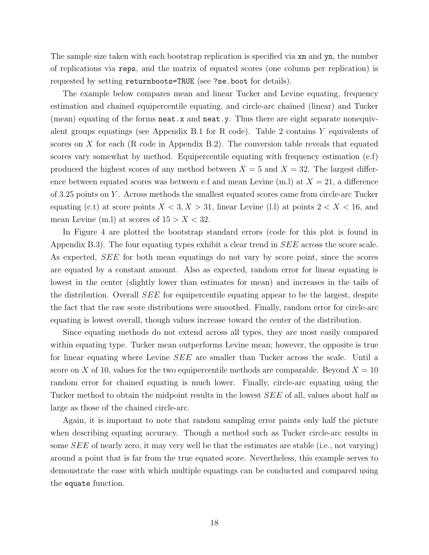The sample size taken with each bootstrap replication is specified via xn and yn, the number of replications via reps, and the matrix of equated scores (one column per replication) is requested by setting returnboots=TRUE (see ?se.boot for details).

The example below compares mean and linear Tucker and Levine equating, frequency estimation and chained equipercentile equating, and circle-arc chained (linear) and Tucker (mean) equating of the forms neat.x and neat.y. Thus there are eight separate nonequivalent groups equatings (see Appendix B.1 for R code). Table 2 contains  $Y$  equivalents of scores on  $X$  for each (R code in Appendix B.2). The conversion table reveals that equated scores vary somewhat by method. Equipercentile equating with frequency estimation (e.f) produced the highest scores of any method between  $X = 5$  and  $X = 32$ . The largest difference between equated scores was between e.f and mean Levine (m.l) at  $X = 21$ , a difference of 3.25 points on Y . Across methods the smallest equated scores came from circle-arc Tucker equating (c.t) at score points  $X < 3, X > 31$ , linear Levine (l.l) at points  $2 < X < 16$ , and mean Levine (m.l) at scores of  $15 > X < 32$ .

In Figure 4 are plotted the bootstrap standard errors (code for this plot is found in Appendix B.3). The four equating types exhibit a clear trend in SEE across the score scale. As expected, SEE for both mean equatings do not vary by score point, since the scores are equated by a constant amount. Also as expected, random error for linear equating is lowest in the center (slightly lower than estimates for mean) and increases in the tails of the distribution. Overall SEE for equipercentile equating appear to be the largest, despite the fact that the raw score distributions were smoothed. Finally, random error for circle-arc equating is lowest overall, though values increase toward the center of the distribution.

Since equating methods do not extend across all types, they are most easily compared within equating type. Tucker mean outperforms Levine mean; however, the opposite is true for linear equating where Levine SEE are smaller than Tucker across the scale. Until a score on X of 10, values for the two equipercentile methods are comparable. Beyond  $X = 10$ random error for chained equating is much lower. Finally, circle-arc equating using the Tucker method to obtain the midpoint results in the lowest SEE of all, values about half as large as those of the chained circle-arc.

Again, it is important to note that random sampling error paints only half the picture when describing equating accuracy. Though a method such as Tucker circle-arc results in some SEE of nearly zero, it may very well be that the estimates are stable (i.e., not varying) around a point that is far from the true equated score. Nevertheless, this example serves to demonstrate the ease with which multiple equatings can be conducted and compared using the equate function.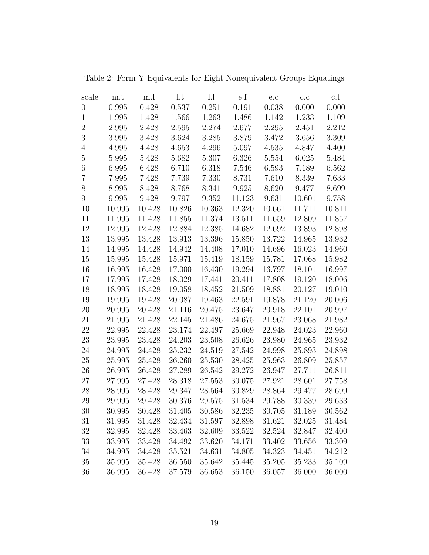| scale            | m.t    | m.l    | 1.t    | l.l    | $\rm e.f$ | e.c    | c.c    | c.t    |
|------------------|--------|--------|--------|--------|-----------|--------|--------|--------|
| $\boldsymbol{0}$ | 0.995  | 0.428  | 0.537  | 0.251  | 0.191     | 0.038  | 0.000  | 0.000  |
| $\mathbf{1}$     | 1.995  | 1.428  | 1.566  | 1.263  | 1.486     | 1.142  | 1.233  | 1.109  |
| $\overline{2}$   | 2.995  | 2.428  | 2.595  | 2.274  | 2.677     | 2.295  | 2.451  | 2.212  |
| 3                | 3.995  | 3.428  | 3.624  | 3.285  | $3.879\,$ | 3.472  | 3.656  | 3.309  |
| $\overline{4}$   | 4.995  | 4.428  | 4.653  | 4.296  | 5.097     | 4.535  | 4.847  | 4.400  |
| $\overline{5}$   | 5.995  | 5.428  | 5.682  | 5.307  | 6.326     | 5.554  | 6.025  | 5.484  |
| $\,6$            | 6.995  | 6.428  | 6.710  | 6.318  | 7.546     | 6.593  | 7.189  | 6.562  |
| $\overline{7}$   | 7.995  | 7.428  | 7.739  | 7.330  | 8.731     | 7.610  | 8.339  | 7.633  |
| 8                | 8.995  | 8.428  | 8.768  | 8.341  | 9.925     | 8.620  | 9.477  | 8.699  |
| 9                | 9.995  | 9.428  | 9.797  | 9.352  | 11.123    | 9.631  | 10.601 | 9.758  |
| 10               | 10.995 | 10.428 | 10.826 | 10.363 | 12.320    | 10.661 | 11.711 | 10.811 |
| 11               | 11.995 | 11.428 | 11.855 | 11.374 | 13.511    | 11.659 | 12.809 | 11.857 |
| 12               | 12.995 | 12.428 | 12.884 | 12.385 | 14.682    | 12.692 | 13.893 | 12.898 |
| 13               | 13.995 | 13.428 | 13.913 | 13.396 | 15.850    | 13.722 | 14.965 | 13.932 |
| 14               | 14.995 | 14.428 | 14.942 | 14.408 | 17.010    | 14.696 | 16.023 | 14.960 |
| 15               | 15.995 | 15.428 | 15.971 | 15.419 | 18.159    | 15.781 | 17.068 | 15.982 |
| 16               | 16.995 | 16.428 | 17.000 | 16.430 | 19.294    | 16.797 | 18.101 | 16.997 |
| 17               | 17.995 | 17.428 | 18.029 | 17.441 | 20.411    | 17.808 | 19.120 | 18.006 |
| 18               | 18.995 | 18.428 | 19.058 | 18.452 | 21.509    | 18.881 | 20.127 | 19.010 |
| 19               | 19.995 | 19.428 | 20.087 | 19.463 | 22.591    | 19.878 | 21.120 | 20.006 |
| $20\,$           | 20.995 | 20.428 | 21.116 | 20.475 | 23.647    | 20.918 | 22.101 | 20.997 |
| 21               | 21.995 | 21.428 | 22.145 | 21.486 | 24.675    | 21.967 | 23.068 | 21.982 |
| $22\,$           | 22.995 | 22.428 | 23.174 | 22.497 | 25.669    | 22.948 | 24.023 | 22.960 |
| 23               | 23.995 | 23.428 | 24.203 | 23.508 | 26.626    | 23.980 | 24.965 | 23.932 |
| $24\,$           | 24.995 | 24.428 | 25.232 | 24.519 | 27.542    | 24.998 | 25.893 | 24.898 |
| $25\,$           | 25.995 | 25.428 | 26.260 | 25.530 | 28.425    | 25.963 | 26.809 | 25.857 |
| 26               | 26.995 | 26.428 | 27.289 | 26.542 | 29.272    | 26.947 | 27.711 | 26.811 |
| 27               | 27.995 | 27.428 | 28.318 | 27.553 | 30.075    | 27.921 | 28.601 | 27.758 |
| 28               | 28.995 | 28.428 | 29.347 | 28.564 | 30.829    | 28.864 | 29.477 | 28.699 |
| 29               | 29.995 | 29.428 | 30.376 | 29.575 | 31.534    | 29.788 | 30.339 | 29.633 |
| 30               | 30.995 | 30.428 | 31.405 | 30.586 | 32.235    | 30.705 | 31.189 | 30.562 |
| 31               | 31.995 | 31.428 | 32.434 | 31.597 | 32.898    | 31.621 | 32.025 | 31.484 |
| $32\,$           | 32.995 | 32.428 | 33.463 | 32.609 | 33.522    | 32.524 | 32.847 | 32.400 |
| 33               | 33.995 | 33.428 | 34.492 | 33.620 | 34.171    | 33.402 | 33.656 | 33.309 |
| 34               | 34.995 | 34.428 | 35.521 | 34.631 | 34.805    | 34.323 | 34.451 | 34.212 |
| $35\,$           | 35.995 | 35.428 | 36.550 | 35.642 | 35.445    | 35.205 | 35.233 | 35.109 |
| 36               | 36.995 | 36.428 | 37.579 | 36.653 | 36.150    | 36.057 | 36.000 | 36.000 |

Table 2: Form Y Equivalents for Eight Nonequivalent Groups Equatings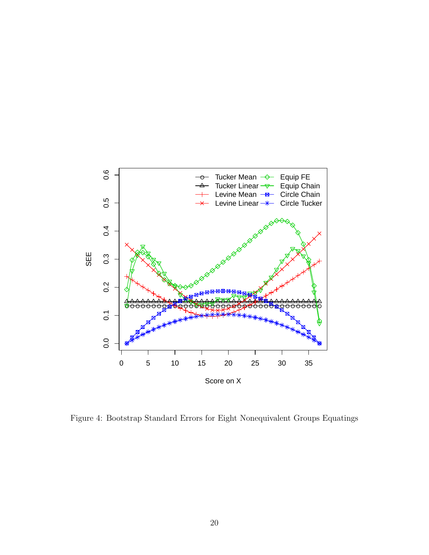

Figure 4: Bootstrap Standard Errors for Eight Nonequivalent Groups Equatings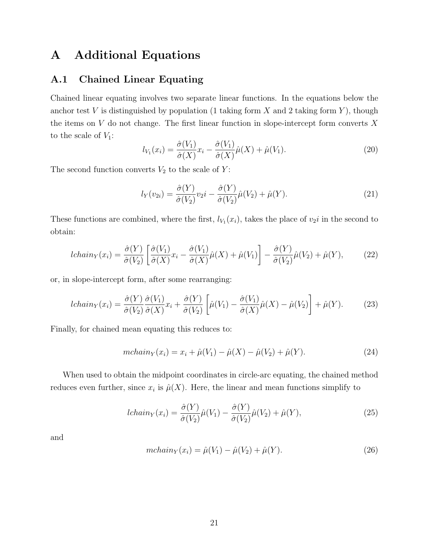## A Additional Equations

## A.1 Chained Linear Equating

Chained linear equating involves two separate linear functions. In the equations below the anchor test V is distinguished by population (1 taking form X and 2 taking form Y), though the items on  $V$  do not change. The first linear function in slope-intercept form converts  $X$ to the scale of  $V_1$ :

$$
l_{V_1}(x_i) = \frac{\hat{\sigma}(V_1)}{\hat{\sigma}(X)} x_i - \frac{\hat{\sigma}(V_1)}{\hat{\sigma}(X)} \hat{\mu}(X) + \hat{\mu}(V_1).
$$
\n(20)

The second function converts  $V_2$  to the scale of  $Y$ :

$$
l_Y(v_{2i}) = \frac{\hat{\sigma}(Y)}{\hat{\sigma}(V_2)} v_2 i - \frac{\hat{\sigma}(Y)}{\hat{\sigma}(V_2)} \hat{\mu}(V_2) + \hat{\mu}(Y). \tag{21}
$$

These functions are combined, where the first,  $l_{V_1}(x_i)$ , takes the place of  $v_2i$  in the second to obtain:

$$
lchain_Y(x_i) = \frac{\hat{\sigma}(Y)}{\hat{\sigma}(V_2)} \left[ \frac{\hat{\sigma}(V_1)}{\hat{\sigma}(X)} x_i - \frac{\hat{\sigma}(V_1)}{\hat{\sigma}(X)} \hat{\mu}(X) + \hat{\mu}(V_1) \right] - \frac{\hat{\sigma}(Y)}{\hat{\sigma}(V_2)} \hat{\mu}(V_2) + \hat{\mu}(Y), \tag{22}
$$

or, in slope-intercept form, after some rearranging:

$$
lchain_Y(x_i) = \frac{\hat{\sigma}(Y)}{\hat{\sigma}(V_2)} \frac{\hat{\sigma}(V_1)}{\hat{\sigma}(X)} x_i + \frac{\hat{\sigma}(Y)}{\hat{\sigma}(V_2)} \left[ \hat{\mu}(V_1) - \frac{\hat{\sigma}(V_1)}{\hat{\sigma}(X)} \hat{\mu}(X) - \hat{\mu}(V_2) \right] + \hat{\mu}(Y). \tag{23}
$$

Finally, for chained mean equating this reduces to:

$$
mchain_Y(x_i) = x_i + \hat{\mu}(V_1) - \hat{\mu}(X) - \hat{\mu}(V_2) + \hat{\mu}(Y).
$$
 (24)

When used to obtain the midpoint coordinates in circle-arc equating, the chained method reduces even further, since  $x_i$  is  $\hat{\mu}(X)$ . Here, the linear and mean functions simplify to

$$
lchain_Y(x_i) = \frac{\hat{\sigma}(Y)}{\hat{\sigma}(V_2)}\hat{\mu}(V_1) - \frac{\hat{\sigma}(Y)}{\hat{\sigma}(V_2)}\hat{\mu}(V_2) + \hat{\mu}(Y),
$$
\n(25)

and

$$
mchain_Y(x_i) = \hat{\mu}(V_1) - \hat{\mu}(V_2) + \hat{\mu}(Y).
$$
 (26)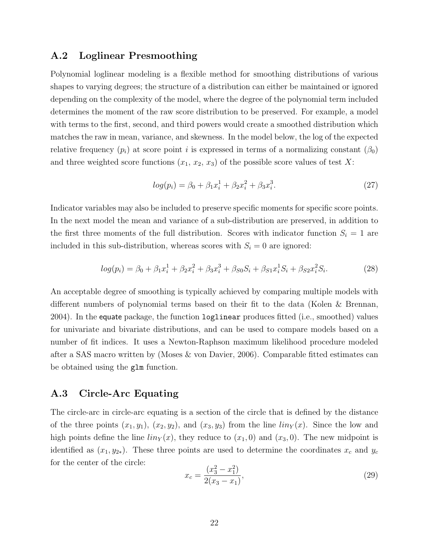### A.2 Loglinear Presmoothing

Polynomial loglinear modeling is a flexible method for smoothing distributions of various shapes to varying degrees; the structure of a distribution can either be maintained or ignored depending on the complexity of the model, where the degree of the polynomial term included determines the moment of the raw score distribution to be preserved. For example, a model with terms to the first, second, and third powers would create a smoothed distribution which matches the raw in mean, variance, and skewness. In the model below, the log of the expected relative frequency  $(p_i)$  at score point i is expressed in terms of a normalizing constant  $(\beta_0)$ and three weighted score functions  $(x_1, x_2, x_3)$  of the possible score values of test X:

$$
log(p_i) = \beta_0 + \beta_1 x_i^1 + \beta_2 x_i^2 + \beta_3 x_i^3. \tag{27}
$$

Indicator variables may also be included to preserve specific moments for specific score points. In the next model the mean and variance of a sub-distribution are preserved, in addition to the first three moments of the full distribution. Scores with indicator function  $S_i = 1$  are included in this sub-distribution, whereas scores with  $S_i = 0$  are ignored:

$$
log(p_i) = \beta_0 + \beta_1 x_i^1 + \beta_2 x_i^2 + \beta_3 x_i^3 + \beta_{S0} S_i + \beta_{S1} x_i^1 S_i + \beta_{S2} x_i^2 S_i.
$$
 (28)

An acceptable degree of smoothing is typically achieved by comparing multiple models with different numbers of polynomial terms based on their fit to the data (Kolen & Brennan, 2004). In the equate package, the function loglinear produces fitted (i.e., smoothed) values for univariate and bivariate distributions, and can be used to compare models based on a number of fit indices. It uses a Newton-Raphson maximum likelihood procedure modeled after a SAS macro written by (Moses & von Davier, 2006). Comparable fitted estimates can be obtained using the glm function.

### A.3 Circle-Arc Equating

The circle-arc in circle-arc equating is a section of the circle that is defined by the distance of the three points  $(x_1, y_1)$ ,  $(x_2, y_2)$ , and  $(x_3, y_3)$  from the line  $\lim_{x \to a} f(x)$ . Since the low and high points define the line  $\lim_{x \to \infty} \log x$  reduce to  $(x_1, 0)$  and  $(x_3, 0)$ . The new midpoint is identified as  $(x_1, y_{2*})$ . These three points are used to determine the coordinates  $x_c$  and  $y_c$ for the center of the circle:

$$
x_c = \frac{(x_3^2 - x_1^2)}{2(x_3 - x_1)},
$$
\n(29)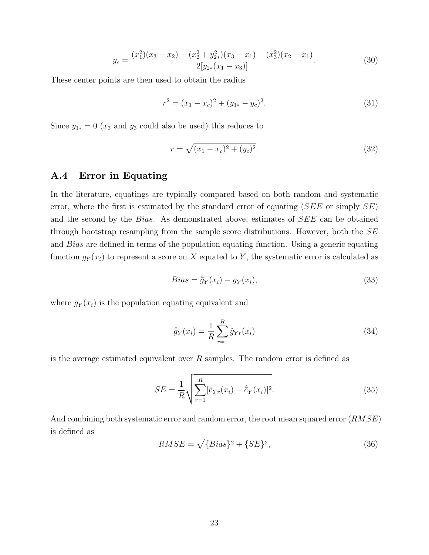$$
y_c = \frac{(x_1^2)(x_3 - x_2) - (x_2^2 + y_{2*}^2)(x_3 - x_1) + (x_3^2)(x_2 - x_1)}{2[y_{2*}(x_1 - x_3)]}.
$$
\n(30)

These center points are then used to obtain the radius

$$
r^{2} = (x_{1} - x_{c})^{2} + (y_{1*} - y_{c})^{2}.
$$
\n(31)

Since  $y_{1*} = 0$  ( $x_3$  and  $y_3$  could also be used) this reduces to

$$
r = \sqrt{(x_1 - x_c)^2 + (y_c)^2}.
$$
\n(32)

## A.4 Error in Equating

In the literature, equatings are typically compared based on both random and systematic error, where the first is estimated by the standard error of equating  $(SEE \text{ or simply } SE)$ and the second by the Bias. As demonstrated above, estimates of SEE can be obtained through bootstrap resampling from the sample score distributions. However, both the  $SE$ and Bias are defined in terms of the population equating function. Using a generic equating function  $g_Y(x_i)$  to represent a score on X equated to Y, the systematic error is calculated as

$$
Bias = \hat{\bar{g}}_Y(x_i) - g_Y(x_i), \qquad (33)
$$

where  $g_Y(x_i)$  is the population equating equivalent and

$$
\hat{\bar{g}}_Y(x_i) = \frac{1}{R} \sum_{r=1}^{R} \hat{g}_{Yr}(x_i)
$$
\n(34)

is the average estimated equivalent over  $R$  samples. The random error is defined as

$$
SE = \frac{1}{R} \sqrt{\sum_{r=1}^{R} [\hat{e}_{Yr}(x_i) - \hat{e}_{Y}(x_i)]^2}.
$$
 (35)

And combining both systematic error and random error, the root mean squared error  $(RMSE)$ is defined as

$$
RMSE = \sqrt{\{Bias\}^2 + \{SE\}^2},\tag{36}
$$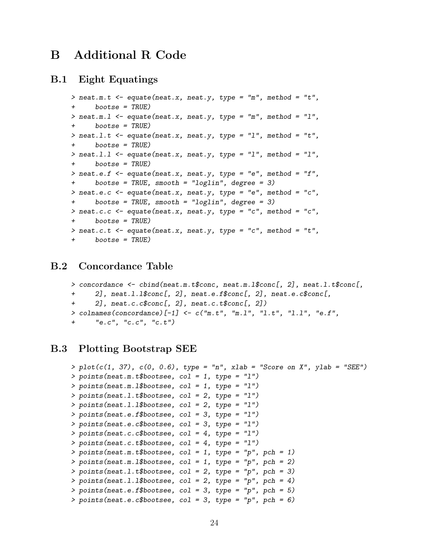## B Additional R Code

### B.1 Eight Equatings

```
> neat.m.t \leq equate(neat.x, neat.y, type = "m", method = "t",
      boostse = TRUE)> neat.m.1 \leq equate(neat.x, neat.y, type = "m", method = "1",
+ bootse = TRUE)
> neat.1.t <- equate(neat.x, neat.y, type = "1", method = "t",
+ bootse = TRUE)
> neat.1.1 <- equate(neat.x, neat.y, type = "1", method = "1",
+ bootse = TRUE)
> neat.e.f \leq equate(neat.x, neat.y, type = "e", method = "f",
      bootstrap = TRUE, smooth = "loglin", degree = 3)> neat.e.c <- equate(neat.x, neat.y, type = "e", method = "c",
+ bootse = TRUE, smooth = "loglin", degree = 3)
> neat.c.c <- equate(neat.x, neat.y, type = "c", method = "c",
+ bootse = TRUE)
> neat.c.t <- equate(neat.x, neat.y, type = "c", method = "t",
+ bootse = TRUE)
```
## B.2 Concordance Table

```
> concordance \leq cbind(neat.m.t$conc, neat.m.1$conc[, 2], neat.1.t$conc[,
+ 2], neat.l.l$conc[, 2], neat.e.f$conc[, 2], neat.e.c$conc[,
+ 2], neat.c.c$conc[, 2], neat.c.t$conc[, 2])
> colnames(concordance)[-1] <- c("m.t", "m.l", "l.t", "l.l", "e.f",
+ "e.c", "c.c", "c.t")
```
## B.3 Plotting Bootstrap SEE

```
> plot(c(1, 37), c(0, 0.6), type = "n", xlab = "Score on X", ylab = "SEE")> points(neat.m.t$bootsee, col = 1, type = "l")
> points(neat.m.1$bootsee, col = 1, type = "1")
> points(neat.l.t$bootsee, col = 2, type = "l")
> points(neat.l.l$bootsee, col = 2, type = "l")
> points(neat.e.f$bootsee, col = 3, type = "l")
> points(neat.e.c$bootsee, col = 3, type = "l")
> points(neat.c.c$bootsee, col = 4, type = "l")
> points(neat.c.t$bootsee, col = 4, type = "1")
> points(neat.m.t$bootsee, col = 1, type = "p", pch = 1)
> points(neat.m.1$bootsee, col = 1, type = "p", pch = 2)
> points(neat.1.t$bootsee, col = 2, type = "p", pch = 3)
> points(neat.1.1$bootsee, col = 2, type = "p", pch = 4)
> points(neat.e.f$bootsee, col = 3, type = "p", pch = 5)
> points(neat.e.c$bootsee, col = 3, type = "p", pch = 6)
```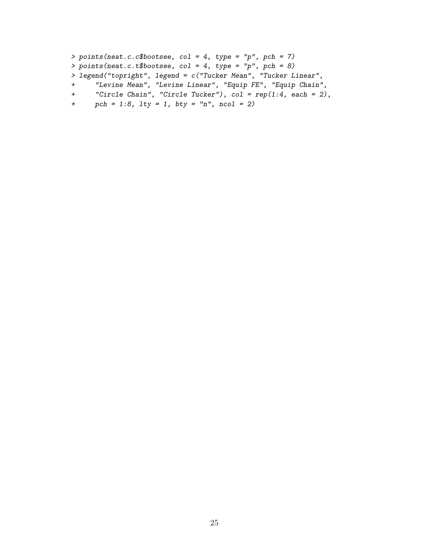```
> points(neat.c.c$bootsee, col = 4, type = "p", pch = 7)
> points(neat.c.t$bootsee, col = 4, type = "p", pch = 8)> legend("topright", legend = c("Tucker Mean", "Tucker Linear",
+ "Levine Mean", "Levine Linear", "Equip FE", "Equip Chain",
+ "Circle Chain", "Circle Tucker"), col = rep(1:4, each = 2),
```

```
+ pch = 1:8, lty = 1, bty = "n", ncol = 2)
```